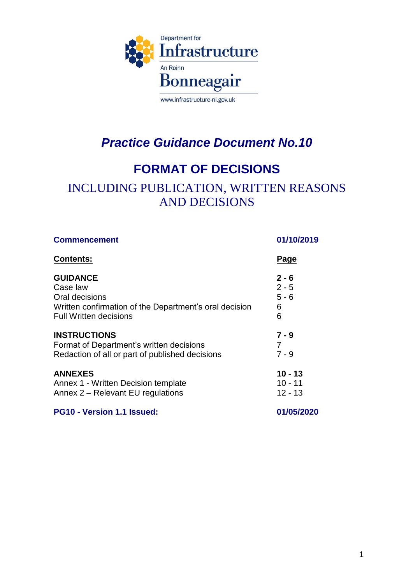

## *Practice Guidance Document No.10*

## **FORMAT OF DECISIONS**

## INCLUDING PUBLICATION, WRITTEN REASONS AND DECISIONS

| <b>Commencement</b><br><b>Contents:</b>                | 01/10/2019<br><u>Page</u> |
|--------------------------------------------------------|---------------------------|
|                                                        |                           |
| Case law                                               | $2 - 5$                   |
| Oral decisions                                         | $5 - 6$                   |
| Written confirmation of the Department's oral decision | 6                         |
| <b>Full Written decisions</b>                          | 6                         |
| <b>INSTRUCTIONS</b>                                    | $7 - 9$                   |
| Format of Department's written decisions               | 7                         |
| Redaction of all or part of published decisions        | $7 - 9$                   |
| <b>ANNEXES</b>                                         | $10 - 13$                 |
| Annex 1 - Written Decision template                    | $10 - 11$                 |
| Annex 2 – Relevant EU regulations                      | $12 - 13$                 |
| PG10 - Version 1.1 Issued:                             | 01/05/2020                |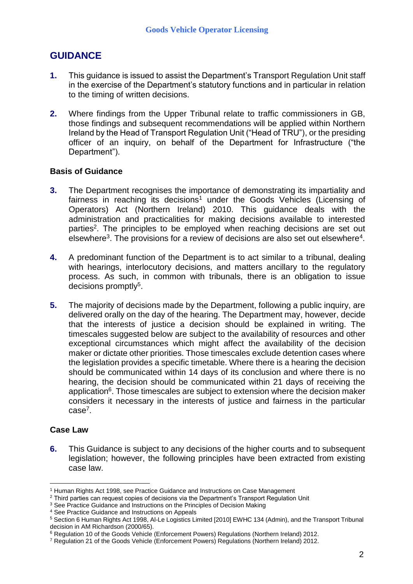### **GUIDANCE**

- **1.** This guidance is issued to assist the Department's Transport Regulation Unit staff in the exercise of the Department's statutory functions and in particular in relation to the timing of written decisions.
- **2.** Where findings from the Upper Tribunal relate to traffic commissioners in GB, those findings and subsequent recommendations will be applied within Northern Ireland by the Head of Transport Regulation Unit ("Head of TRU"), or the presiding officer of an inquiry, on behalf of the Department for Infrastructure ("the Department").

#### **Basis of Guidance**

- **3.** The Department recognises the importance of demonstrating its impartiality and fairness in reaching its decisions<sup>1</sup> under the Goods Vehicles (Licensing of Operators) Act (Northern Ireland) 2010. This guidance deals with the administration and practicalities for making decisions available to interested parties<sup>2</sup>. The principles to be employed when reaching decisions are set out elsewhere<sup>3</sup>. The provisions for a review of decisions are also set out elsewhere<sup>4</sup>.
- **4.** A predominant function of the Department is to act similar to a tribunal, dealing with hearings, interlocutory decisions, and matters ancillary to the regulatory process. As such, in common with tribunals, there is an obligation to issue decisions promptly<sup>5</sup>.
- **5.** The majority of decisions made by the Department, following a public inquiry, are delivered orally on the day of the hearing. The Department may, however, decide that the interests of justice a decision should be explained in writing. The timescales suggested below are subject to the availability of resources and other exceptional circumstances which might affect the availability of the decision maker or dictate other priorities. Those timescales exclude detention cases where the legislation provides a specific timetable. Where there is a hearing the decision should be communicated within 14 days of its conclusion and where there is no hearing, the decision should be communicated within 21 days of receiving the application<sup>6</sup>. Those timescales are subject to extension where the decision maker considers it necessary in the interests of justice and fairness in the particular case<sup>7</sup>.

#### **Case Law**

<u>.</u>

**6.** This Guidance is subject to any decisions of the higher courts and to subsequent legislation; however, the following principles have been extracted from existing case law.

<sup>1</sup> Human Rights Act 1998, see Practice Guidance and Instructions on Case Management

<sup>&</sup>lt;sup>2</sup> Third parties can request copies of decisions via the Department's Transport Regulation Unit

<sup>&</sup>lt;sup>3</sup> See Practice Guidance and Instructions on the Principles of Decision Making

<sup>4</sup> See Practice Guidance and Instructions on Appeals

<sup>5</sup> Section 6 Human Rights Act 1998, Al-Le Logistics Limited [2010] EWHC 134 (Admin), and the Transport Tribunal decision in AM Richardson (2000/65).

<sup>6</sup> Regulation 10 of the Goods Vehicle (Enforcement Powers) Regulations (Northern Ireland) 2012.

<sup>7</sup> Regulation 21 of the Goods Vehicle (Enforcement Powers) Regulations (Northern Ireland) 2012.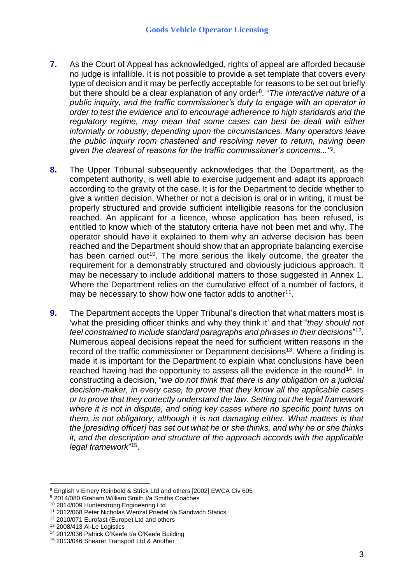- **7.** As the Court of Appeal has acknowledged, rights of appeal are afforded because no judge is infallible. It is not possible to provide a set template that covers every type of decision and it may be perfectly acceptable for reasons to be set out briefly but there should be a clear explanation of any order<sup>8</sup>. "The interactive nature of a *public inquiry, and the traffic commissioner's duty to engage with an operator in order to test the evidence and to encourage adherence to high standards and the regulatory regime, may mean that some cases can best be dealt with either informally or robustly, depending upon the circumstances. Many operators leave the public inquiry room chastened and resolving never to return, having been given the clearest of reasons for the traffic commissioner's concerns..."<sup>9</sup> .*
- **8.** The Upper Tribunal subsequently acknowledges that the Department, as the competent authority, is well able to exercise judgement and adapt its approach according to the gravity of the case. It is for the Department to decide whether to give a written decision. Whether or not a decision is oral or in writing, it must be properly structured and provide sufficient intelligible reasons for the conclusion reached. An applicant for a licence, whose application has been refused, is entitled to know which of the statutory criteria have not been met and why. The operator should have it explained to them why an adverse decision has been reached and the Department should show that an appropriate balancing exercise has been carried out<sup>10</sup>. The more serious the likely outcome, the greater the requirement for a demonstrably structured and obviously judicious approach. It may be necessary to include additional matters to those suggested in Annex 1. Where the Department relies on the cumulative effect of a number of factors, it may be necessary to show how one factor adds to another<sup>11</sup>.
- **9.** The Department accepts the Upper Tribunal's direction that what matters most is 'what the presiding officer thinks and why they think it' and that "*they should not feel constrained to include standard paragraphs and phrases in their decisions*" 12 . Numerous appeal decisions repeat the need for sufficient written reasons in the record of the traffic commissioner or Department decisions<sup>13</sup>. Where a finding is made it is important for the Department to explain what conclusions have been reached having had the opportunity to assess all the evidence in the round<sup>14</sup>. In constructing a decision, "*we do not think that there is any obligation on a judicial decision-maker, in every case, to prove that they know all the applicable cases or to prove that they correctly understand the law. Setting out the legal framework where it is not in dispute, and citing key cases where no specific point turns on them, is not obligatory, although it is not damaging either. What matters is that the [presiding officer] has set out what he or she thinks, and why he or she thinks it, and the description and structure of the approach accords with the applicable legal framework*" 15 .

<u>.</u>

<sup>8</sup> English v Emery Reinbold & Strick Ltd and others [2002] EWCA Civ 605

<sup>&</sup>lt;sup>9</sup> 2014/080 Graham William Smith t/a Smiths Coaches

<sup>10</sup> 2014/009 Hunterstrong Engineering Ltd

<sup>11</sup> 2012/068 Peter Nicholas Wenzal Priedel t/a Sandwich Statics

<sup>12</sup> 2010/071 Eurofast (Europe) Ltd and others

<sup>13</sup> 2008/413 Al-Le Logistics

<sup>14</sup> 2012/036 Patrick O'Keefe t/a O'Keefe Building

<sup>15</sup> 2013/046 Shearer Transport Ltd & Another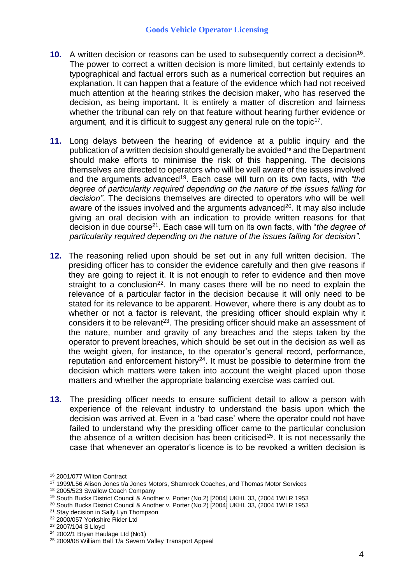- **10.** A written decision or reasons can be used to subsequently correct a decision<sup>16</sup>. The power to correct a written decision is more limited, but certainly extends to typographical and factual errors such as a numerical correction but requires an explanation. It can happen that a feature of the evidence which had not received much attention at the hearing strikes the decision maker, who has reserved the decision, as being important. It is entirely a matter of discretion and fairness whether the tribunal can rely on that feature without hearing further evidence or argument, and it is difficult to suggest any general rule on the topic<sup>17</sup>.
- **11.** Long delays between the hearing of evidence at a public inquiry and the publication of a written decision should generally be avoided<sup>18</sup> and the Department should make efforts to minimise the risk of this happening. The decisions themselves are directed to operators who will be well aware of the issues involved and the arguments advanced<sup>19</sup>. Each case will turn on its own facts, with "the *degree of particularity required depending on the nature of the issues falling for decision"*. The decisions themselves are directed to operators who will be well aware of the issues involved and the arguments advanced<sup>20</sup>. It may also include giving an oral decision with an indication to provide written reasons for that decision in due course<sup>21</sup> . Each case will turn on its own facts, with "*the degree of particularity required depending on the nature of the issues falling for decision"*.
- **12.** The reasoning relied upon should be set out in any full written decision. The presiding officer has to consider the evidence carefully and then give reasons if they are going to reject it. It is not enough to refer to evidence and then move straight to a conclusion<sup>22</sup>. In many cases there will be no need to explain the relevance of a particular factor in the decision because it will only need to be stated for its relevance to be apparent. However, where there is any doubt as to whether or not a factor is relevant, the presiding officer should explain why it considers it to be relevant<sup>23</sup>. The presiding officer should make an assessment of the nature, number and gravity of any breaches and the steps taken by the operator to prevent breaches, which should be set out in the decision as well as the weight given, for instance, to the operator's general record, performance, reputation and enforcement history<sup>24</sup>. It must be possible to determine from the decision which matters were taken into account the weight placed upon those matters and whether the appropriate balancing exercise was carried out.
- **13.** The presiding officer needs to ensure sufficient detail to allow a person with experience of the relevant industry to understand the basis upon which the decision was arrived at. Even in a 'bad case' where the operator could not have failed to understand why the presiding officer came to the particular conclusion the absence of a written decision has been criticised<sup>25</sup>. It is not necessarily the case that whenever an operator's licence is to be revoked a written decision is

<u>.</u>

<sup>16</sup> 2001/077 Wilton Contract

<sup>17</sup> 1999/L56 Alison Jones t/a Jones Motors, Shamrock Coaches, and Thomas Motor Services

<sup>18</sup> 2005/523 Swallow Coach Company

<sup>19</sup> South Bucks District Council & Another v. Porter (No.2) [2004] UKHL 33, (2004 1WLR 1953

<sup>20</sup> South Bucks District Council & Another v. Porter (No.2) [2004] UKHL 33, (2004 1WLR 1953

<sup>&</sup>lt;sup>21</sup> Stay decision in Sally Lyn Thompson

<sup>22</sup> 2000/057 Yorkshire Rider Ltd

<sup>23</sup> 2007/104 S Lloyd

<sup>24</sup> 2002/1 Bryan Haulage Ltd (No1)

<sup>25</sup> 2009/08 William Ball T/a Severn Valley Transport Appeal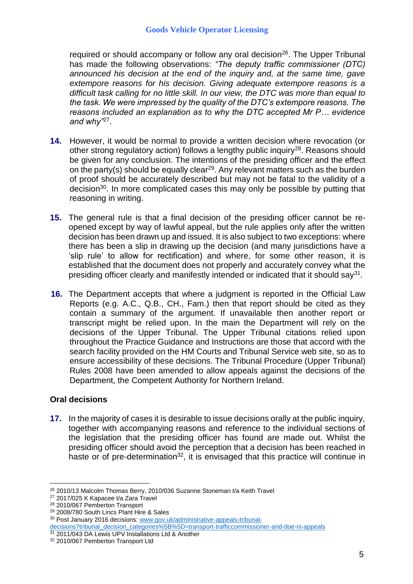required or should accompany or follow any oral decision<sup>26</sup>. The Upper Tribunal has made the following observations: *"The deputy traffic commissioner (DTC) announced his decision at the end of the inquiry and, at the same time, gave*  extempore reasons for his decision. Giving adequate extempore reasons is a *difficult task calling for no little skill. In our view, the DTC was more than equal to the task. We were impressed by the quality of the DTC's extempore reasons. The reasons included an explanation as to why the DTC accepted Mr P… evidence and why"*<sup>27</sup> .

- **14.** However, it would be normal to provide a written decision where revocation (or other strong regulatory action) follows a lengthy public inquiry<sup>28</sup>. Reasons should be given for any conclusion. The intentions of the presiding officer and the effect on the party(s) should be equally clear<sup>29</sup>. Any relevant matters such as the burden of proof should be accurately described but may not be fatal to the validity of a decision<sup>30</sup>. In more complicated cases this may only be possible by putting that reasoning in writing.
- **15.** The general rule is that a final decision of the presiding officer cannot be reopened except by way of lawful appeal, but the rule applies only after the written decision has been drawn up and issued. It is also subject to two exceptions: where there has been a slip in drawing up the decision (and many jurisdictions have a 'slip rule' to allow for rectification) and where, for some other reason, it is established that the document does not properly and accurately convey what the presiding officer clearly and manifestly intended or indicated that it should say<sup>31</sup>.
- **16.** The Department accepts that where a judgment is reported in the Official Law Reports (e.g. A.C., Q.B., CH., Fam.) then that report should be cited as they contain a summary of the argument. If unavailable then another report or transcript might be relied upon. In the main the Department will rely on the decisions of the Upper Tribunal. The Upper Tribunal citations relied upon throughout the Practice Guidance and Instructions are those that accord with the search facility provided on the HM Courts and Tribunal Service web site, so as to ensure accessibility of these decisions. The Tribunal Procedure (Upper Tribunal) Rules 2008 have been amended to allow appeals against the decisions of the Department, the Competent Authority for Northern Ireland.

#### **Oral decisions**

<u>.</u>

**17.** In the majority of cases it is desirable to issue decisions orally at the public inquiry, together with accompanying reasons and reference to the individual sections of the legislation that the presiding officer has found are made out. Whilst the presiding officer should avoid the perception that a decision has been reached in haste or of pre-determination<sup>32</sup>, it is envisaged that this practice will continue in

<sup>26</sup> 2010/13 Malcolm Thomas Berry, 2010/036 Suzanne Stoneman t/a Keith Travel

<sup>27</sup> 2017/025 K Kapacee t/a Zara Travel

<sup>28</sup> 2010/067 Pemberton Transport

<sup>29</sup> 2008/780 South Lincs Plant Hire & Sales

<sup>30</sup> Post January 2016 decisions: [www.gov.uk/administrative-appeals-tribunal-](file:///C:/Users/0805696/Desktop/Practice%20guidance%20docs%202017/2019/www.gov.uk/administrative-appeals-tribunal-decisions%3ftribunal_decision_categories%5b%5d=transport-trafficcommissioner-and-doe-ni-appeals)

[decisions?tribunal\\_decision\\_categories%5B%5D=transport-trafficcommissioner-and-doe-ni-appeals](file:///C:/Users/0805696/Desktop/Practice%20guidance%20docs%202017/2019/www.gov.uk/administrative-appeals-tribunal-decisions%3ftribunal_decision_categories%5b%5d=transport-trafficcommissioner-and-doe-ni-appeals) 31 2011/043 DA Lewis UPV Installations Ltd & Another

<sup>&</sup>lt;sup>32</sup> 2010/067 Pemberton Transport Ltd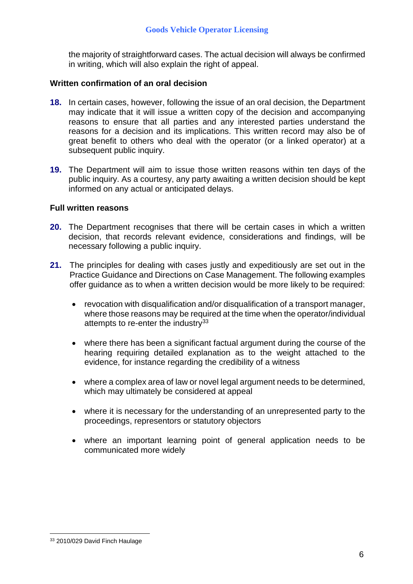the majority of straightforward cases. The actual decision will always be confirmed in writing, which will also explain the right of appeal.

#### **Written confirmation of an oral decision**

- **18.** In certain cases, however, following the issue of an oral decision, the Department may indicate that it will issue a written copy of the decision and accompanying reasons to ensure that all parties and any interested parties understand the reasons for a decision and its implications. This written record may also be of great benefit to others who deal with the operator (or a linked operator) at a subsequent public inquiry.
- **19.** The Department will aim to issue those written reasons within ten days of the public inquiry. As a courtesy, any party awaiting a written decision should be kept informed on any actual or anticipated delays.

#### **Full written reasons**

- **20.** The Department recognises that there will be certain cases in which a written decision, that records relevant evidence, considerations and findings, will be necessary following a public inquiry.
- **21.** The principles for dealing with cases justly and expeditiously are set out in the Practice Guidance and Directions on Case Management. The following examples offer guidance as to when a written decision would be more likely to be required:
	- revocation with disqualification and/or disqualification of a transport manager, where those reasons may be required at the time when the operator/individual attempts to re-enter the industry $33$
	- where there has been a significant factual argument during the course of the hearing requiring detailed explanation as to the weight attached to the evidence, for instance regarding the credibility of a witness
	- where a complex area of law or novel legal argument needs to be determined, which may ultimately be considered at appeal
	- where it is necessary for the understanding of an unrepresented party to the proceedings, representors or statutory objectors
	- where an important learning point of general application needs to be communicated more widely

1

<sup>33 2010/029</sup> David Finch Haulage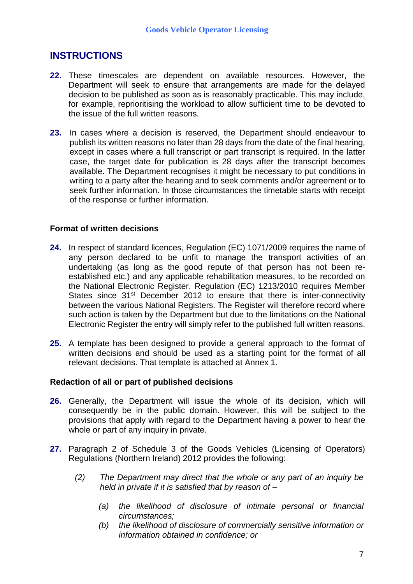### **INSTRUCTIONS**

- **22.** These timescales are dependent on available resources. However, the Department will seek to ensure that arrangements are made for the delayed decision to be published as soon as is reasonably practicable. This may include, for example, reprioritising the workload to allow sufficient time to be devoted to the issue of the full written reasons.
- **23.** In cases where a decision is reserved, the Department should endeavour to publish its written reasons no later than 28 days from the date of the final hearing, except in cases where a full transcript or part transcript is required. In the latter case, the target date for publication is 28 days after the transcript becomes available. The Department recognises it might be necessary to put conditions in writing to a party after the hearing and to seek comments and/or agreement or to seek further information. In those circumstances the timetable starts with receipt of the response or further information.

#### **Format of written decisions**

- **24.** In respect of standard licences, Regulation (EC) 1071/2009 requires the name of any person declared to be unfit to manage the transport activities of an undertaking (as long as the good repute of that person has not been reestablished etc.) and any applicable rehabilitation measures, to be recorded on the National Electronic Register. Regulation (EC) 1213/2010 requires Member States since 31<sup>st</sup> December 2012 to ensure that there is inter-connectivity between the various National Registers. The Register will therefore record where such action is taken by the Department but due to the limitations on the National Electronic Register the entry will simply refer to the published full written reasons.
- **25.** A template has been designed to provide a general approach to the format of written decisions and should be used as a starting point for the format of all relevant decisions. That template is attached at Annex 1.

#### **Redaction of all or part of published decisions**

- **26.** Generally, the Department will issue the whole of its decision, which will consequently be in the public domain. However, this will be subject to the provisions that apply with regard to the Department having a power to hear the whole or part of any inquiry in private.
- **27.** Paragraph 2 of Schedule 3 of the Goods Vehicles (Licensing of Operators) Regulations (Northern Ireland) 2012 provides the following:
	- *(2) The Department may direct that the whole or any part of an inquiry be held in private if it is satisfied that by reason of –*
		- *(a) the likelihood of disclosure of intimate personal or financial circumstances;*
		- *(b) the likelihood of disclosure of commercially sensitive information or information obtained in confidence; or*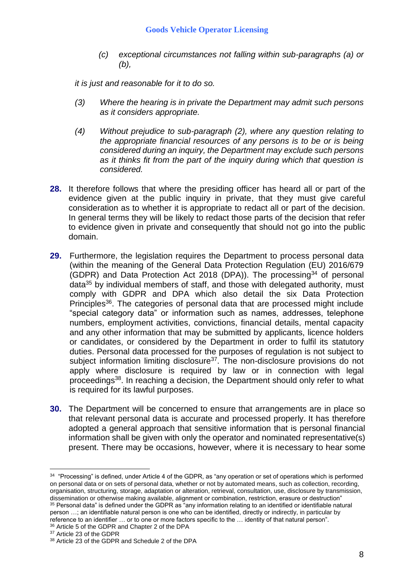*(c) exceptional circumstances not falling within sub-paragraphs (a) or (b),*

*it is just and reasonable for it to do so.*

- *(3) Where the hearing is in private the Department may admit such persons as it considers appropriate.*
- *(4) Without prejudice to sub-paragraph (2), where any question relating to the appropriate financial resources of any persons is to be or is being considered during an inquiry, the Department may exclude such persons as it thinks fit from the part of the inquiry during which that question is considered.*
- **28.** It therefore follows that where the presiding officer has heard all or part of the evidence given at the public inquiry in private, that they must give careful consideration as to whether it is appropriate to redact all or part of the decision. In general terms they will be likely to redact those parts of the decision that refer to evidence given in private and consequently that should not go into the public domain.
- **29.** Furthermore, the legislation requires the Department to process personal data (within the meaning of the General Data Protection Regulation (EU) 2016/679 (GDPR) and Data Protection Act 2018 (DPA)). The processing<sup>34</sup> of personal data<sup>35</sup> by individual members of staff, and those with delegated authority, must comply with GDPR and DPA which also detail the six Data Protection Principles<sup>36</sup>. The categories of personal data that are processed might include "special category data" or information such as names, addresses, telephone numbers, employment activities, convictions, financial details, mental capacity and any other information that may be submitted by applicants, licence holders or candidates, or considered by the Department in order to fulfil its statutory duties. Personal data processed for the purposes of regulation is not subject to subject information limiting disclosure<sup>37</sup>. The non-disclosure provisions do not apply where disclosure is required by law or in connection with legal proceedings<sup>38</sup>. In reaching a decision, the Department should only refer to what is required for its lawful purposes.
- **30.** The Department will be concerned to ensure that arrangements are in place so that relevant personal data is accurate and processed properly. It has therefore adopted a general approach that sensitive information that is personal financial information shall be given with only the operator and nominated representative(s) present. There may be occasions, however, where it is necessary to hear some

reference to an identifier … or to one or more factors specific to the … identity of that natural person".

<u>.</u>

<sup>&</sup>lt;sup>34</sup> "Processing" is defined, under Article 4 of the GDPR, as "any operation or set of operations which is performed on personal data or on sets of personal data, whether or not by automated means, such as collection, recording, organisation, structuring, storage, adaptation or alteration, retrieval, consultation, use, disclosure by transmission, dissemination or otherwise making available, alignment or combination, restriction, erasure or destruction" <sup>35</sup> Personal data" is defined under the GDPR as "any information relating to an identified or identifiable natural person …; an identifiable natural person is one who can be identified, directly or indirectly, in particular by

<sup>36</sup> Article 5 of the GDPR and Chapter 2 of the DPA

<sup>&</sup>lt;sup>37</sup> Article 23 of the GDPR

<sup>38</sup> Article 23 of the GDPR and Schedule 2 of the DPA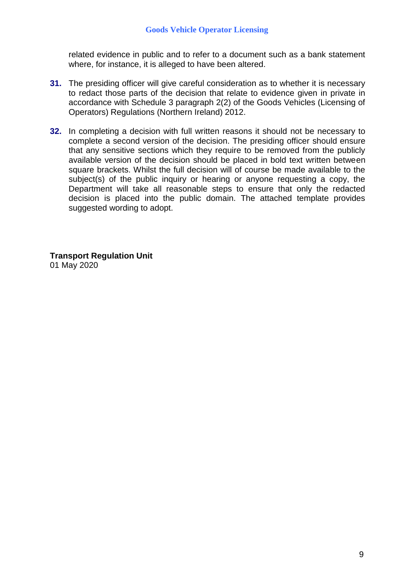related evidence in public and to refer to a document such as a bank statement where, for instance, it is alleged to have been altered.

- **31.** The presiding officer will give careful consideration as to whether it is necessary to redact those parts of the decision that relate to evidence given in private in accordance with Schedule 3 paragraph 2(2) of the Goods Vehicles (Licensing of Operators) Regulations (Northern Ireland) 2012.
- **32.** In completing a decision with full written reasons it should not be necessary to complete a second version of the decision. The presiding officer should ensure that any sensitive sections which they require to be removed from the publicly available version of the decision should be placed in bold text written between square brackets. Whilst the full decision will of course be made available to the subject(s) of the public inquiry or hearing or anyone requesting a copy, the Department will take all reasonable steps to ensure that only the redacted decision is placed into the public domain. The attached template provides suggested wording to adopt.

**Transport Regulation Unit** 01 May 2020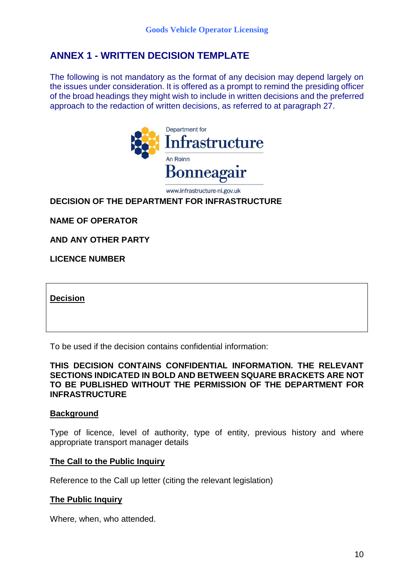### **ANNEX 1 - WRITTEN DECISION TEMPLATE**

The following is not mandatory as the format of any decision may depend largely on the issues under consideration. It is offered as a prompt to remind the presiding officer of the broad headings they might wish to include in written decisions and the preferred approach to the redaction of written decisions, as referred to at paragraph 27.



www.infrastructure-ni.gov.uk

#### **DECISION OF THE DEPARTMENT FOR INFRASTRUCTURE**

**NAME OF OPERATOR**

**AND ANY OTHER PARTY**

**LICENCE NUMBER**

**Decision** 

To be used if the decision contains confidential information:

#### **THIS DECISION CONTAINS CONFIDENTIAL INFORMATION. THE RELEVANT SECTIONS INDICATED IN BOLD AND BETWEEN SQUARE BRACKETS ARE NOT TO BE PUBLISHED WITHOUT THE PERMISSION OF THE DEPARTMENT FOR INFRASTRUCTURE**

#### **Background**

Type of licence, level of authority, type of entity, previous history and where appropriate transport manager details

#### **The Call to the Public Inquiry**

Reference to the Call up letter (citing the relevant legislation)

#### **The Public Inquiry**

Where, when, who attended.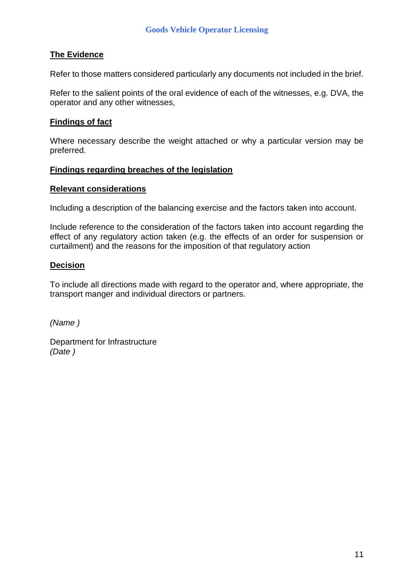#### **The Evidence**

Refer to those matters considered particularly any documents not included in the brief.

Refer to the salient points of the oral evidence of each of the witnesses, e.g. DVA, the operator and any other witnesses,

#### **Findings of fact**

Where necessary describe the weight attached or why a particular version may be preferred.

#### **Findings regarding breaches of the legislation**

#### **Relevant considerations**

Including a description of the balancing exercise and the factors taken into account.

Include reference to the consideration of the factors taken into account regarding the effect of any regulatory action taken (e.g. the effects of an order for suspension or curtailment) and the reasons for the imposition of that regulatory action

#### **Decision**

To include all directions made with regard to the operator and, where appropriate, the transport manger and individual directors or partners.

*(Name )*

Department for Infrastructure *(Date )*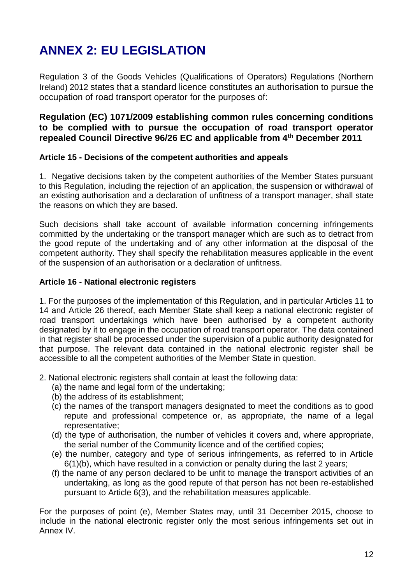# **ANNEX 2: EU LEGISLATION**

Regulation 3 of the Goods Vehicles (Qualifications of Operators) Regulations (Northern Ireland) 2012 states that a standard licence constitutes an authorisation to pursue the occupation of road transport operator for the purposes of:

#### **Regulation (EC) 1071/2009 establishing common rules concerning conditions to be complied with to pursue the occupation of road transport operator repealed Council Directive 96/26 EC and applicable from 4th December 2011**

#### **Article 15 - Decisions of the competent authorities and appeals**

1. Negative decisions taken by the competent authorities of the Member States pursuant to this Regulation, including the rejection of an application, the suspension or withdrawal of an existing authorisation and a declaration of unfitness of a transport manager, shall state the reasons on which they are based.

Such decisions shall take account of available information concerning infringements committed by the undertaking or the transport manager which are such as to detract from the good repute of the undertaking and of any other information at the disposal of the competent authority. They shall specify the rehabilitation measures applicable in the event of the suspension of an authorisation or a declaration of unfitness.

#### **Article 16 - National electronic registers**

1. For the purposes of the implementation of this Regulation, and in particular Articles 11 to 14 and Article 26 thereof, each Member State shall keep a national electronic register of road transport undertakings which have been authorised by a competent authority designated by it to engage in the occupation of road transport operator. The data contained in that register shall be processed under the supervision of a public authority designated for that purpose. The relevant data contained in the national electronic register shall be accessible to all the competent authorities of the Member State in question.

2. National electronic registers shall contain at least the following data:

- (a) the name and legal form of the undertaking;
- (b) the address of its establishment;
- (c) the names of the transport managers designated to meet the conditions as to good repute and professional competence or, as appropriate, the name of a legal representative;
- (d) the type of authorisation, the number of vehicles it covers and, where appropriate, the serial number of the Community licence and of the certified copies;
- (e) the number, category and type of serious infringements, as referred to in Article 6(1)(b), which have resulted in a conviction or penalty during the last 2 years;
- (f) the name of any person declared to be unfit to manage the transport activities of an undertaking, as long as the good repute of that person has not been re-established pursuant to Article 6(3), and the rehabilitation measures applicable.

For the purposes of point (e), Member States may, until 31 December 2015, choose to include in the national electronic register only the most serious infringements set out in Annex IV.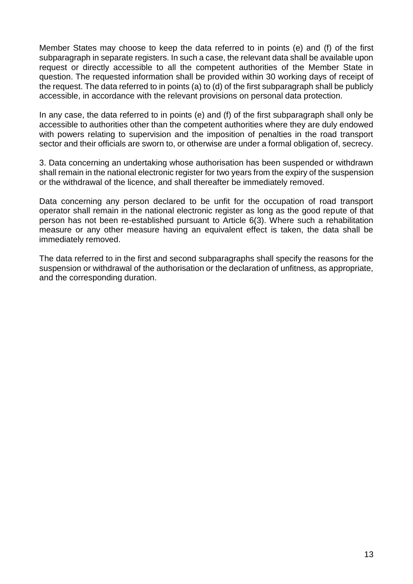Member States may choose to keep the data referred to in points (e) and (f) of the first subparagraph in separate registers. In such a case, the relevant data shall be available upon request or directly accessible to all the competent authorities of the Member State in question. The requested information shall be provided within 30 working days of receipt of the request. The data referred to in points (a) to (d) of the first subparagraph shall be publicly accessible, in accordance with the relevant provisions on personal data protection.

In any case, the data referred to in points (e) and (f) of the first subparagraph shall only be accessible to authorities other than the competent authorities where they are duly endowed with powers relating to supervision and the imposition of penalties in the road transport sector and their officials are sworn to, or otherwise are under a formal obligation of, secrecy.

3. Data concerning an undertaking whose authorisation has been suspended or withdrawn shall remain in the national electronic register for two years from the expiry of the suspension or the withdrawal of the licence, and shall thereafter be immediately removed.

Data concerning any person declared to be unfit for the occupation of road transport operator shall remain in the national electronic register as long as the good repute of that person has not been re-established pursuant to Article 6(3). Where such a rehabilitation measure or any other measure having an equivalent effect is taken, the data shall be immediately removed.

The data referred to in the first and second subparagraphs shall specify the reasons for the suspension or withdrawal of the authorisation or the declaration of unfitness, as appropriate, and the corresponding duration.